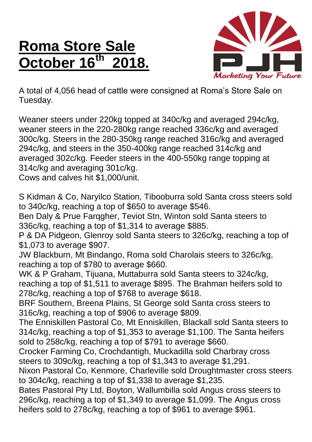## **Roma Store Sale October 16th 2018.**



A total of 4,056 head of cattle were consigned at Roma's Store Sale on Tuesday.

Weaner steers under 220kg topped at 340c/kg and averaged 294c/kg, weaner steers in the 220-280kg range reached 336c/kg and averaged 300c/kg. Steers in the 280-350kg range reached 316c/kg and averaged 294c/kg, and steers in the 350-400kg range reached 314c/kg and averaged 302c/kg. Feeder steers in the 400-550kg range topping at 314c/kg and averaging 301c/kg.

Cows and calves hit \$1,000/unit.

S Kidman & Co, Naryilco Station, Tibooburra sold Santa cross steers sold to 340c/kg, reaching a top of \$650 to average \$546.

Ben Daly & Prue Farqgher, Teviot Stn, Winton sold Santa steers to 336c/kg, reaching a top of \$1,314 to average \$885.

P & DA Pidgeon, Glenroy sold Santa steers to 326c/kg, reaching a top of \$1,073 to average \$907.

JW Blackburn, Mt Bindango, Roma sold Charolais steers to 326c/kg, reaching a top of \$780 to average \$660.

WK & P Graham, Tijuana, Muttaburra sold Santa steers to 324c/kg, reaching a top of \$1,511 to average \$895. The Brahman heifers sold to 278c/kg, reaching a top of \$768 to average \$618.

BRF Southern, Breena Plains, St George sold Santa cross steers to 316c/kg, reaching a top of \$906 to average \$809.

The Enniskillen Pastoral Co, Mt Enniskillen, Blackall sold Santa steers to 314c/kg, reaching a top of \$1,353 to average \$1,100. The Santa heifers sold to 258c/kg, reaching a top of \$791 to average \$660.

Crocker Farming Co, Crochdantigh, Muckadilla sold Charbray cross steers to 309c/kg, reaching a top of \$1,343 to average \$1,291.

Nixon Pastoral Co, Kenmore, Charleville sold Droughtmaster cross steers to 304c/kg, reaching a top of \$1,338 to average \$1,235.

Bates Pastoral Pty Ltd, Boyton, Wallumbilla sold Angus cross steers to 296c/kg, reaching a top of \$1,349 to average \$1,099. The Angus cross heifers sold to 278c/kg, reaching a top of \$961 to average \$961.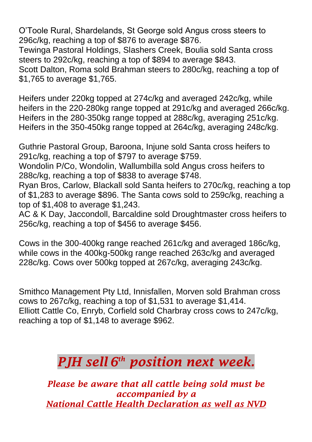O'Toole Rural, Shardelands, St George sold Angus cross steers to 296c/kg, reaching a top of \$876 to average \$876.

Tewinga Pastoral Holdings, Slashers Creek, Boulia sold Santa cross steers to 292c/kg, reaching a top of \$894 to average \$843. Scott Dalton, Roma sold Brahman steers to 280c/kg, reaching a top of \$1,765 to average \$1,765.

Heifers under 220kg topped at 274c/kg and averaged 242c/kg, while heifers in the 220-280kg range topped at 291c/kg and averaged 266c/kg. Heifers in the 280-350kg range topped at 288c/kg, averaging 251c/kg. Heifers in the 350-450kg range topped at 264c/kg, averaging 248c/kg.

Guthrie Pastoral Group, Baroona, Injune sold Santa cross heifers to 291c/kg, reaching a top of \$797 to average \$759.

Wondolin P/Co, Wondolin, Wallumbilla sold Angus cross heifers to 288c/kg, reaching a top of \$838 to average \$748.

Ryan Bros, Carlow, Blackall sold Santa heifers to 270c/kg, reaching a top of \$1,283 to average \$896. The Santa cows sold to 259c/kg, reaching a top of \$1,408 to average \$1,243.

AC & K Day, Jaccondoll, Barcaldine sold Droughtmaster cross heifers to 256c/kg, reaching a top of \$456 to average \$456.

Cows in the 300-400kg range reached 261c/kg and averaged 186c/kg, while cows in the 400kg-500kg range reached 263c/kg and averaged 228c/kg. Cows over 500kg topped at 267c/kg, averaging 243c/kg.

Smithco Management Pty Ltd, Innisfallen, Morven sold Brahman cross cows to 267c/kg, reaching a top of \$1,531 to average \$1,414. Elliott Cattle Co, Enryb, Corfield sold Charbray cross cows to 247c/kg, reaching a top of \$1,148 to average \$962.

## *PJH sell 6 th position next week.*

*Please be aware that all cattle being sold must be accompanied by a National Cattle Health Declaration as well as NVD*